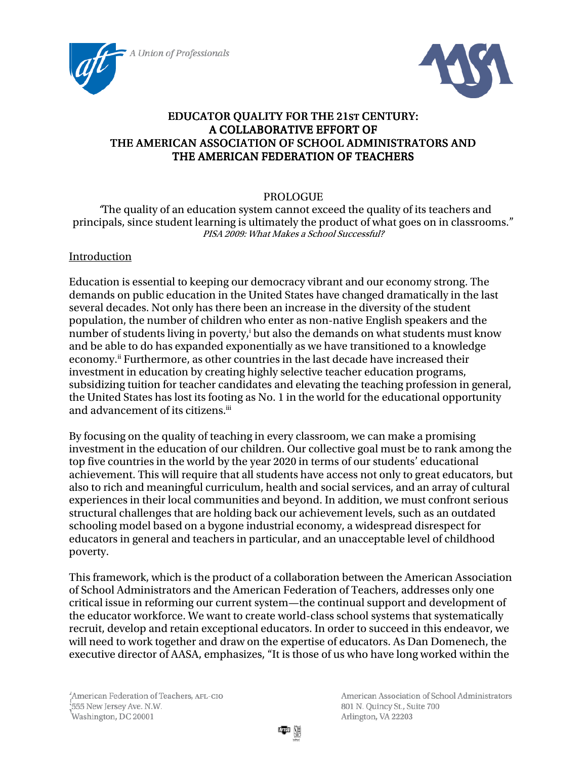



# EDUCATOR QUALITY FOR THE 21ST CENTURY: A COLLABORATIVE EFFORT OF THE AMERICAN ASSOCIATION OF SCHOOL ADMINISTRATORS AND THE AMERICAN FEDERATION OF TEACHERS

## PROLOGUE

"The quality of an education system cannot exceed the quality of its teachers and principals, since student learning is ultimately the product of what goes on in classrooms." PISA 2009: What Makes a School Successful?

### Introduction

Education is essential to keeping our democracy vibrant and our economy strong. The demands on public education in the United States have changed dramatically in the last several decades. Not only has there been an increase in the diversity of the student population, the number of children who enter as non-native English speakers and the number of students living in poverty,<sup>i</sup> but also the demands on what students must know and be able to do has expanded exponentially as we have transitioned to a knowledge economy.ii Furthermore, as other countries in the last decade have increased their investment in education by creating highly selective teacher education programs, subsidizing tuition for teacher candidates and elevating the teaching profession in general, the United States has lost its footing as No. 1 in the world for the educational opportunity and advancement of its citizens.<sup>iii</sup>

By focusing on the quality of teaching in every classroom, we can make a promising investment in the education of our children. Our collective goal must be to rank among the top five countries in the world by the year 2020 in terms of our students' educational achievement. This will require that all students have access not only to great educators, but also to rich and meaningful curriculum, health and social services, and an array of cultural experiences in their local communities and beyond. In addition, we must confront serious structural challenges that are holding back our achievement levels, such as an outdated schooling model based on a bygone industrial economy, a widespread disrespect for educators in general and teachers in particular, and an unacceptable level of childhood poverty.

This framework, which is the product of a collaboration between the American Association of School Administrators and the American Federation of Teachers, addresses only one critical issue in reforming our current system—the continual support and development of the educator workforce. We want to create world-class school systems that systematically recruit, develop and retain exceptional educators. In order to succeed in this endeavor, we will need to work together and draw on the expertise of educators. As Dan Domenech, the executive director of AASA, emphasizes, "It is those of us who have long worked within the

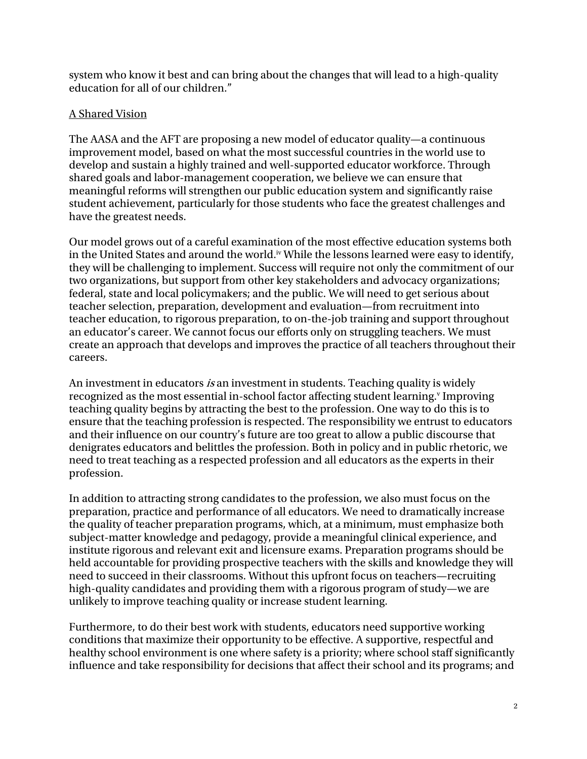system who know it best and can bring about the changes that will lead to a high-quality education for all of our children."

## A Shared Vision

The AASA and the AFT are proposing a new model of educator quality—a continuous improvement model, based on what the most successful countries in the world use to develop and sustain a highly trained and well-supported educator workforce. Through shared goals and labor-management cooperation, we believe we can ensure that meaningful reforms will strengthen our public education system and significantly raise student achievement, particularly for those students who face the greatest challenges and have the greatest needs.

Our model grows out of a careful examination of the most effective education systems both in the United States and around the world.<sup>iv</sup> While the lessons learned were easy to identify, they will be challenging to implement. Success will require not only the commitment of our two organizations, but support from other key stakeholders and advocacy organizations; federal, state and local policymakers; and the public. We will need to get serious about teacher selection, preparation, development and evaluation—from recruitment into teacher education, to rigorous preparation, to on-the-job training and support throughout an educator's career. We cannot focus our efforts only on struggling teachers. We must create an approach that develops and improves the practice of all teachers throughout their careers.

An investment in educators *is* an investment in students. Teaching quality is widely recognized as the most essential in-school factor affecting student learning.<sup>v</sup> Improving teaching quality begins by attracting the best to the profession. One way to do this is to ensure that the teaching profession is respected. The responsibility we entrust to educators and their influence on our country's future are too great to allow a public discourse that denigrates educators and belittles the profession. Both in policy and in public rhetoric, we need to treat teaching as a respected profession and all educators as the experts in their profession.

In addition to attracting strong candidates to the profession, we also must focus on the preparation, practice and performance of all educators. We need to dramatically increase the quality of teacher preparation programs, which, at a minimum, must emphasize both subject-matter knowledge and pedagogy, provide a meaningful clinical experience, and institute rigorous and relevant exit and licensure exams. Preparation programs should be held accountable for providing prospective teachers with the skills and knowledge they will need to succeed in their classrooms. Without this upfront focus on teachers—recruiting high-quality candidates and providing them with a rigorous program of study—we are unlikely to improve teaching quality or increase student learning.

Furthermore, to do their best work with students, educators need supportive working conditions that maximize their opportunity to be effective. A supportive, respectful and healthy school environment is one where safety is a priority; where school staff significantly influence and take responsibility for decisions that affect their school and its programs; and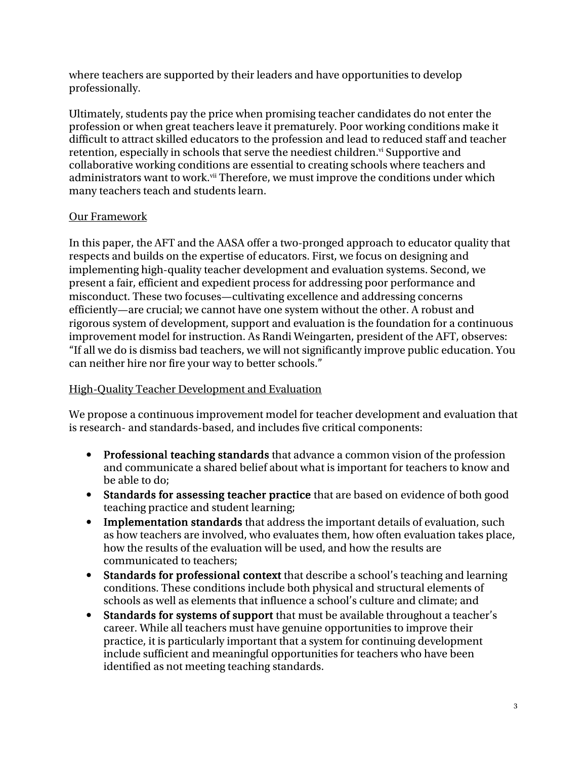where teachers are supported by their leaders and have opportunities to develop professionally.

Ultimately, students pay the price when promising teacher candidates do not enter the profession or when great teachers leave it prematurely. Poor working conditions make it difficult to attract skilled educators to the profession and lead to reduced staff and teacher retention, especially in schools that serve the neediest children.<sup>vi</sup> Supportive and collaborative working conditions are essential to creating schools where teachers and administrators want to work.<sup>vii</sup> Therefore, we must improve the conditions under which many teachers teach and students learn.

# Our Framework

In this paper, the AFT and the AASA offer a two-pronged approach to educator quality that respects and builds on the expertise of educators. First, we focus on designing and implementing high-quality teacher development and evaluation systems. Second, we present a fair, efficient and expedient process for addressing poor performance and misconduct. These two focuses—cultivating excellence and addressing concerns efficiently—are crucial; we cannot have one system without the other. A robust and rigorous system of development, support and evaluation is the foundation for a continuous improvement model for instruction. As Randi Weingarten, president of the AFT, observes: "If all we do is dismiss bad teachers, we will not significantly improve public education. You can neither hire nor fire your way to better schools."

## High-Quality Teacher Development and Evaluation

We propose a continuous improvement model for teacher development and evaluation that is research- and standards-based, and includes five critical components:

- Professional teaching standards that advance a common vision of the profession and communicate a shared belief about what is important for teachers to know and be able to do;
- Standards for assessing teacher practice that are based on evidence of both good teaching practice and student learning;
- Implementation standards that address the important details of evaluation, such as how teachers are involved, who evaluates them, how often evaluation takes place, how the results of the evaluation will be used, and how the results are communicated to teachers;
- Standards for professional context that describe a school's teaching and learning conditions. These conditions include both physical and structural elements of schools as well as elements that influence a school's culture and climate; and
- Standards for systems of support that must be available throughout a teacher's career. While all teachers must have genuine opportunities to improve their practice, it is particularly important that a system for continuing development include sufficient and meaningful opportunities for teachers who have been identified as not meeting teaching standards.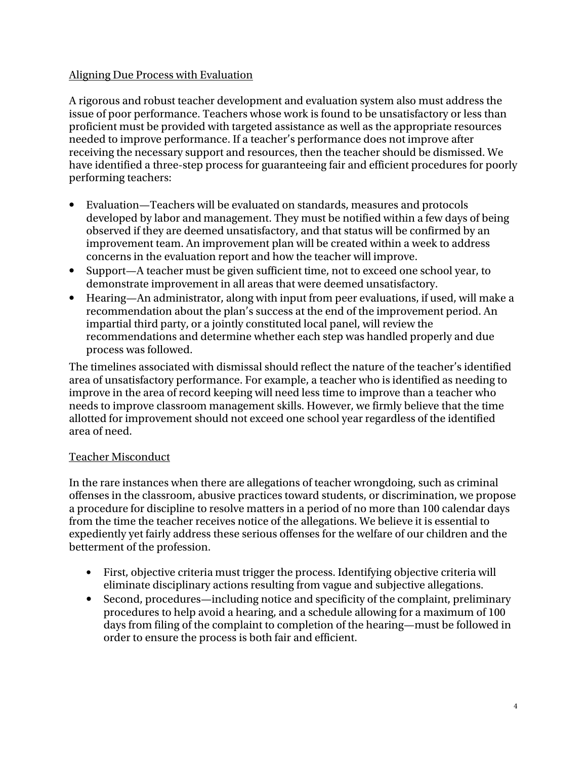## Aligning Due Process with Evaluation

A rigorous and robust teacher development and evaluation system also must address the issue of poor performance. Teachers whose work is found to be unsatisfactory or less than proficient must be provided with targeted assistance as well as the appropriate resources needed to improve performance. If a teacher's performance does not improve after receiving the necessary support and resources, then the teacher should be dismissed. We have identified a three-step process for guaranteeing fair and efficient procedures for poorly performing teachers:

- Evaluation—Teachers will be evaluated on standards, measures and protocols developed by labor and management. They must be notified within a few days of being observed if they are deemed unsatisfactory, and that status will be confirmed by an improvement team. An improvement plan will be created within a week to address concerns in the evaluation report and how the teacher will improve.
- Support—A teacher must be given sufficient time, not to exceed one school year, to demonstrate improvement in all areas that were deemed unsatisfactory.
- Hearing—An administrator, along with input from peer evaluations, if used, will make a recommendation about the plan's success at the end of the improvement period. An impartial third party, or a jointly constituted local panel, will review the recommendations and determine whether each step was handled properly and due process was followed.

The timelines associated with dismissal should reflect the nature of the teacher's identified area of unsatisfactory performance. For example, a teacher who is identified as needing to improve in the area of record keeping will need less time to improve than a teacher who needs to improve classroom management skills. However, we firmly believe that the time allotted for improvement should not exceed one school year regardless of the identified area of need.

# Teacher Misconduct

In the rare instances when there are allegations of teacher wrongdoing, such as criminal offenses in the classroom, abusive practices toward students, or discrimination, we propose a procedure for discipline to resolve matters in a period of no more than 100 calendar days from the time the teacher receives notice of the allegations. We believe it is essential to expediently yet fairly address these serious offenses for the welfare of our children and the betterment of the profession.

- First, objective criteria must trigger the process. Identifying objective criteria will eliminate disciplinary actions resulting from vague and subjective allegations.
- Second, procedures—including notice and specificity of the complaint, preliminary procedures to help avoid a hearing, and a schedule allowing for a maximum of 100 days from filing of the complaint to completion of the hearing—must be followed in order to ensure the process is both fair and efficient.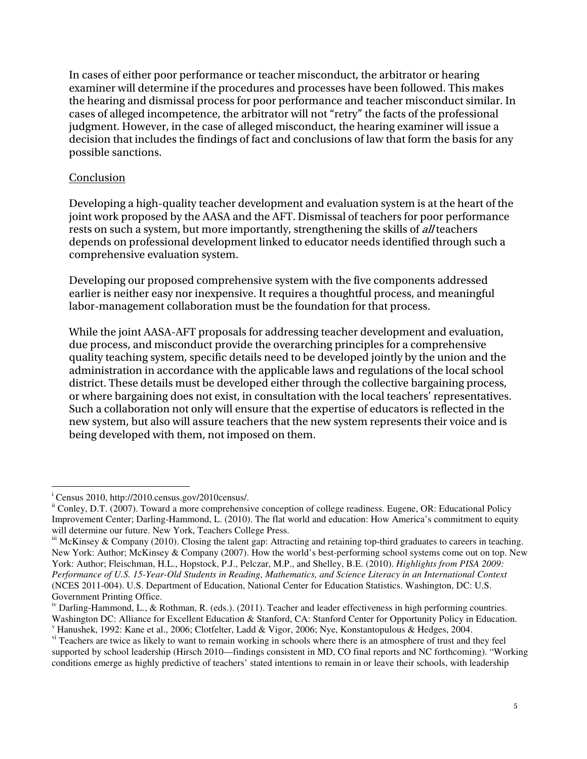In cases of either poor performance or teacher misconduct, the arbitrator or hearing examiner will determine if the procedures and processes have been followed. This makes the hearing and dismissal process for poor performance and teacher misconduct similar. In cases of alleged incompetence, the arbitrator will not "retry" the facts of the professional judgment. However, in the case of alleged misconduct, the hearing examiner will issue a decision that includes the findings of fact and conclusions of law that form the basis for any possible sanctions.

#### **Conclusion**

Developing a high-quality teacher development and evaluation system is at the heart of the joint work proposed by the AASA and the AFT. Dismissal of teachers for poor performance rests on such a system, but more importantly, strengthening the skills of *all* teachers depends on professional development linked to educator needs identified through such a comprehensive evaluation system.

Developing our proposed comprehensive system with the five components addressed earlier is neither easy nor inexpensive. It requires a thoughtful process, and meaningful labor-management collaboration must be the foundation for that process.

While the joint AASA-AFT proposals for addressing teacher development and evaluation, due process, and misconduct provide the overarching principles for a comprehensive quality teaching system, specific details need to be developed jointly by the union and the administration in accordance with the applicable laws and regulations of the local school district. These details must be developed either through the collective bargaining process, or where bargaining does not exist, in consultation with the local teachers' representatives. Such a collaboration not only will ensure that the expertise of educators is reflected in the new system, but also will assure teachers that the new system represents their voice and is being developed with them, not imposed on them.

-

i Census 2010, http://2010.census.gov/2010census/.

ii Conley, D.T. (2007). Toward a more comprehensive conception of college readiness. Eugene, OR: Educational Policy Improvement Center; Darling-Hammond, L. (2010). The flat world and education: How America's commitment to equity will determine our future. New York, Teachers College Press.

iii McKinsey & Company (2010). Closing the talent gap: Attracting and retaining top-third graduates to careers in teaching. New York: Author; McKinsey & Company (2007). How the world's best-performing school systems come out on top. New York: Author; Fleischman, H.L., Hopstock, P.J., Pelczar, M.P., and Shelley, B.E. (2010). *Highlights from PISA 2009: Performance of U.S. 15-Year-Old Students in Reading, Mathematics, and Science Literacy in an International Context*  (NCES 2011-004). U.S. Department of Education, National Center for Education Statistics. Washington, DC: U.S. Government Printing Office.

<sup>&</sup>lt;sup>iv</sup> Darling-Hammond, L., & Rothman, R. (eds.). (2011). Teacher and leader effectiveness in high performing countries. Washington DC: Alliance for Excellent Education & Stanford, CA: Stanford Center for Opportunity Policy in Education. v Hanushek, 1992: Kane et al., 2006; Clotfelter, Ladd & Vigor, 2006; Nye, Konstantopulous & Hedges, 2004.

<sup>&</sup>lt;sup>vi</sup> Teachers are twice as likely to want to remain working in schools where there is an atmosphere of trust and they feel supported by school leadership (Hirsch 2010—findings consistent in MD, CO final reports and NC forthcoming). "Working conditions emerge as highly predictive of teachers' stated intentions to remain in or leave their schools, with leadership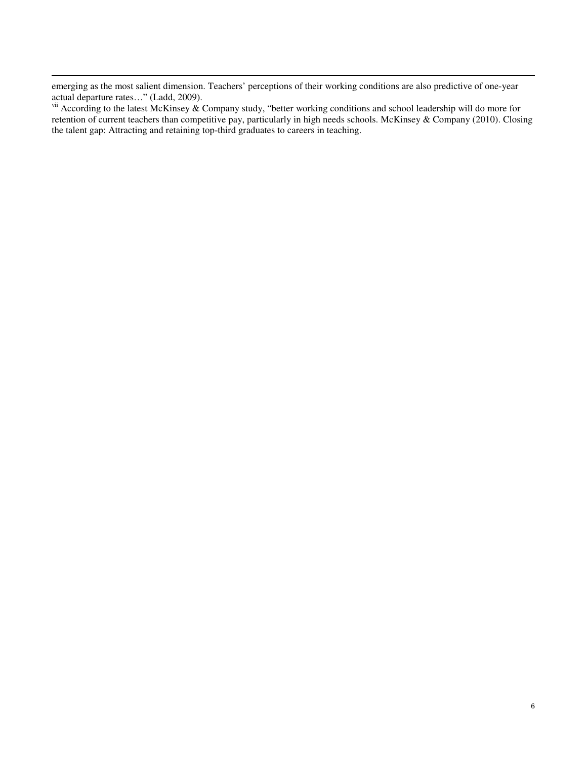emerging as the most salient dimension. Teachers' perceptions of their working conditions are also predictive of one-year actual departure rates…" (Ladd, 2009).

-

vii According to the latest McKinsey & Company study, "better working conditions and school leadership will do more for retention of current teachers than competitive pay, particularly in high needs schools. McKinsey & Company (2010). Closing the talent gap: Attracting and retaining top-third graduates to careers in teaching.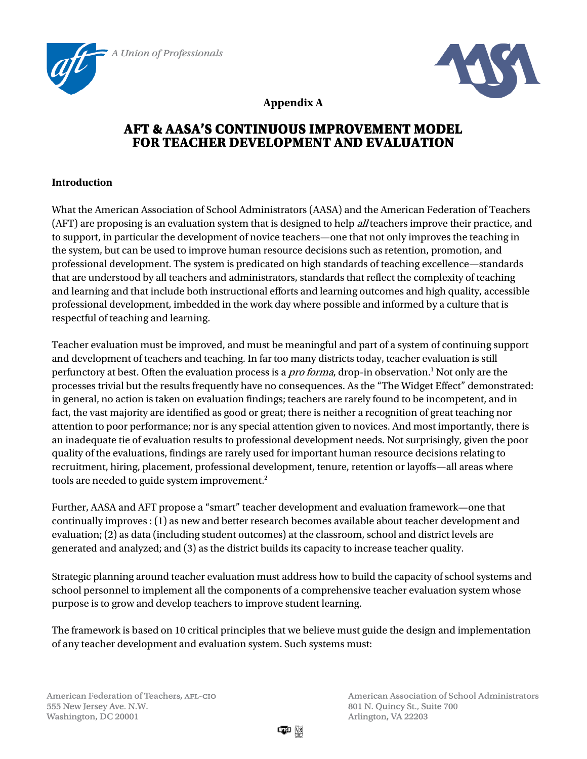





**Appendix A** 

# **AFT & AASA'S AFT & AASA'SCONTINUOUS IMPROVEMENT MODEL CONTINUOUS MODEL FOR TEACHER DEVELOPMENT AND EVALUATION**

### **Introduction**

What the American Association of School Administrators (AASA) and the American Federation of Teachers (AFT) are proposing is an evaluation system that is designed to help *all* teachers improve their practice, and to support, in particular the development of novice teachers—one that not only improves the teaching in the system, but can be used to improve human resource decisions such as retention, promotion, and professional development. The system is predicated on high standards of teaching excellence—standards that are understood by all teachers and administrators, standards that reflect the complexity of teaching and learning and that include both instructional efforts and learning outcomes and high quality, accessible professional development, imbedded in the work day where possible and informed by a culture that is respectful of teaching and learning.

Teacher evaluation must be improved, and must be meaningful and part of a system of continuing support and development of teachers and teaching. In far too many districts today, teacher evaluation is still perfunctory at best. Often the evaluation process is a *pro forma*, drop-in observation.<sup>1</sup> Not only are the processes trivial but the results frequently have no consequences. As the "The Widget Effect" demonstrated: in general, no action is taken on evaluation findings; teachers are rarely found to be incompetent, and in fact, the vast majority are identified as good or great; there is neither a recognition of great teaching nor attention to poor performance; nor is any special attention given to novices. And most importantly, there is an inadequate tie of evaluation results to professional development needs. Not surprisingly, given the poor quality of the evaluations, findings are rarely used for important human resource decisions relating to recruitment, hiring, placement, professional development, tenure, retention or layoffs—all areas where tools are needed to guide system improvement.<sup>2</sup>

Further, AASA and AFT propose a "smart" teacher development and evaluation framework—one that continually improves : (1) as new and better research becomes available about teacher development and evaluation; (2) as data (including student outcomes) at the classroom, school and district levels are generated and analyzed; and (3) as the district builds its capacity to increase teacher quality.

Strategic planning around teacher evaluation must address how to build the capacity of school systems and school personnel to implement all the components of a comprehensive teacher evaluation system whose purpose is to grow and develop teachers to improve student learning.

The framework is based on 10 critical principles that we believe must guide the design and implementation of any teacher development and evaluation system. Such systems must:

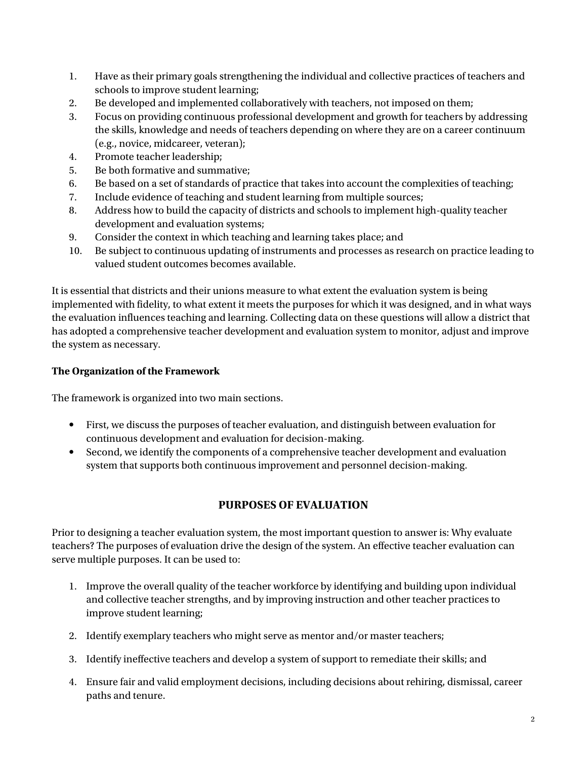- 1. Have as their primary goals strengthening the individual and collective practices of teachers and schools to improve student learning;
- 2. Be developed and implemented collaboratively with teachers, not imposed on them;
- 3. Focus on providing continuous professional development and growth for teachers by addressing the skills, knowledge and needs of teachers depending on where they are on a career continuum (e.g., novice, midcareer, veteran);
- 4. Promote teacher leadership;
- 5. Be both formative and summative;
- 6. Be based on a set of standards of practice that takes into account the complexities of teaching;
- 7. Include evidence of teaching and student learning from multiple sources;
- 8. Address how to build the capacity of districts and schools to implement high-quality teacher development and evaluation systems;
- 9. Consider the context in which teaching and learning takes place; and
- 10. Be subject to continuous updating of instruments and processes as research on practice leading to valued student outcomes becomes available.

It is essential that districts and their unions measure to what extent the evaluation system is being implemented with fidelity, to what extent it meets the purposes for which it was designed, and in what ways the evaluation influences teaching and learning. Collecting data on these questions will allow a district that has adopted a comprehensive teacher development and evaluation system to monitor, adjust and improve the system as necessary.

# **The Organization of the Framework**

The framework is organized into two main sections.

- First, we discuss the purposes of teacher evaluation, and distinguish between evaluation for continuous development and evaluation for decision-making.
- Second, we identify the components of a comprehensive teacher development and evaluation system that supports both continuous improvement and personnel decision-making.

# **PURPOSES OF EVALUATION**

Prior to designing a teacher evaluation system, the most important question to answer is: Why evaluate teachers? The purposes of evaluation drive the design of the system. An effective teacher evaluation can serve multiple purposes. It can be used to:

- 1. Improve the overall quality of the teacher workforce by identifying and building upon individual and collective teacher strengths, and by improving instruction and other teacher practices to improve student learning;
- 2. Identify exemplary teachers who might serve as mentor and/or master teachers;
- 3. Identify ineffective teachers and develop a system of support to remediate their skills; and
- 4. Ensure fair and valid employment decisions, including decisions about rehiring, dismissal, career paths and tenure.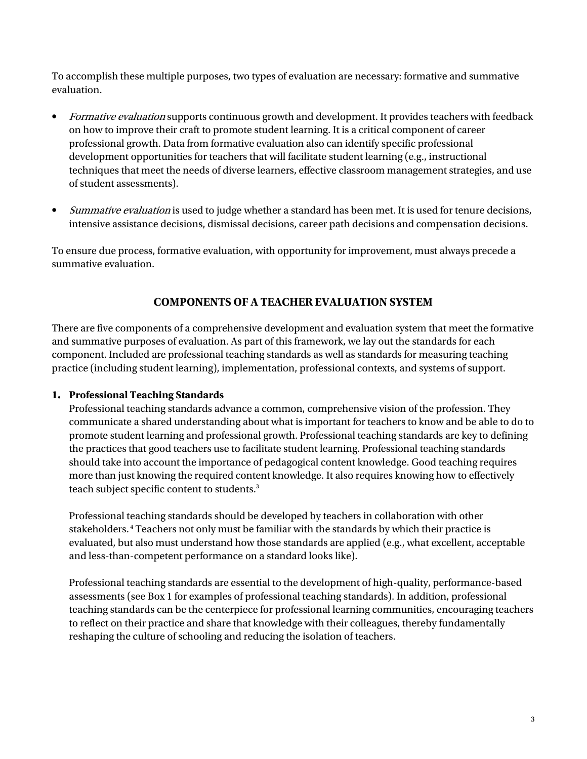To accomplish these multiple purposes, two types of evaluation are necessary: formative and summative evaluation.

- Formative evaluation supports continuous growth and development. It provides teachers with feedback on how to improve their craft to promote student learning. It is a critical component of career professional growth. Data from formative evaluation also can identify specific professional development opportunities for teachers that will facilitate student learning (e.g., instructional techniques that meet the needs of diverse learners, effective classroom management strategies, and use of student assessments).
- Summative evaluation is used to judge whether a standard has been met. It is used for tenure decisions, intensive assistance decisions, dismissal decisions, career path decisions and compensation decisions.

To ensure due process, formative evaluation, with opportunity for improvement, must always precede a summative evaluation.

# **COMPONENTS OF A TEACHER EVALUATION SYSTEM**

There are five components of a comprehensive development and evaluation system that meet the formative and summative purposes of evaluation. As part of this framework, we lay out the standards for each component. Included are professional teaching standards as well as standards for measuring teaching practice (including student learning), implementation, professional contexts, and systems of support.

#### **1. Professional Teaching Standards**

Professional teaching standards advance a common, comprehensive vision of the profession. They communicate a shared understanding about what is important for teachers to know and be able to do to promote student learning and professional growth. Professional teaching standards are key to defining the practices that good teachers use to facilitate student learning. Professional teaching standards should take into account the importance of pedagogical content knowledge. Good teaching requires more than just knowing the required content knowledge. It also requires knowing how to effectively teach subject specific content to students.<sup>3</sup>

Professional teaching standards should be developed by teachers in collaboration with other stakeholders.<sup>4</sup> Teachers not only must be familiar with the standards by which their practice is evaluated, but also must understand how those standards are applied (e.g., what excellent, acceptable and less-than-competent performance on a standard looks like).

Professional teaching standards are essential to the development of high-quality, performance-based assessments (see Box 1 for examples of professional teaching standards). In addition, professional teaching standards can be the centerpiece for professional learning communities, encouraging teachers to reflect on their practice and share that knowledge with their colleagues, thereby fundamentally reshaping the culture of schooling and reducing the isolation of teachers.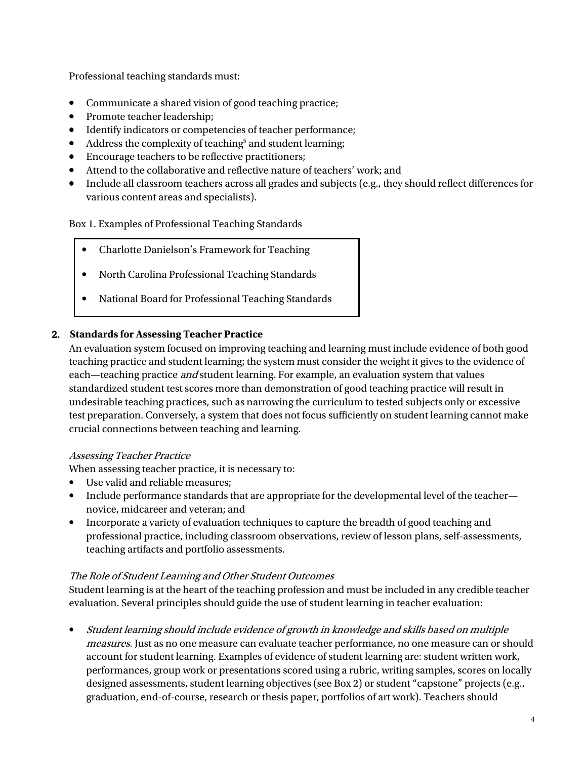Professional teaching standards must:

- Communicate a shared vision of good teaching practice;
- Promote teacher leadership;
- Identify indicators or competencies of teacher performance;
- Address the complexity of teaching<sup>5</sup> and student learning;
- Encourage teachers to be reflective practitioners;
- Attend to the collaborative and reflective nature of teachers' work; and
- Include all classroom teachers across all grades and subjects (e.g., they should reflect differences for various content areas and specialists).

#### Box 1. Examples of Professional Teaching Standards

- Charlotte Danielson's Framework for Teaching
- North Carolina Professional Teaching Standards
- National Board for Professional Teaching Standards

#### 2. **Standards for Assessing Teacher Practice**

An evaluation system focused on improving teaching and learning must include evidence of both good teaching practice and student learning; the system must consider the weight it gives to the evidence of each—teaching practice *and* student learning. For example, an evaluation system that values standardized student test scores more than demonstration of good teaching practice will result in undesirable teaching practices, such as narrowing the curriculum to tested subjects only or excessive test preparation. Conversely, a system that does not focus sufficiently on student learning cannot make crucial connections between teaching and learning.

#### Assessing Teacher Practice

When assessing teacher practice, it is necessary to:

- Use valid and reliable measures;
- Include performance standards that are appropriate for the developmental level of the teacher novice, midcareer and veteran; and
- Incorporate a variety of evaluation techniques to capture the breadth of good teaching and professional practice, including classroom observations, review of lesson plans, self-assessments, teaching artifacts and portfolio assessments.

#### The Role of Student Learning and Other Student Outcomes

Student learning is at the heart of the teaching profession and must be included in any credible teacher evaluation. Several principles should guide the use of student learning in teacher evaluation:

• Student learning should include evidence of growth in knowledge and skills based on multiple measures. Just as no one measure can evaluate teacher performance, no one measure can or should account for student learning. Examples of evidence of student learning are: student written work, performances, group work or presentations scored using a rubric, writing samples, scores on locally designed assessments, student learning objectives (see Box 2) or student "capstone" projects (e.g., graduation, end-of-course, research or thesis paper, portfolios of art work). Teachers should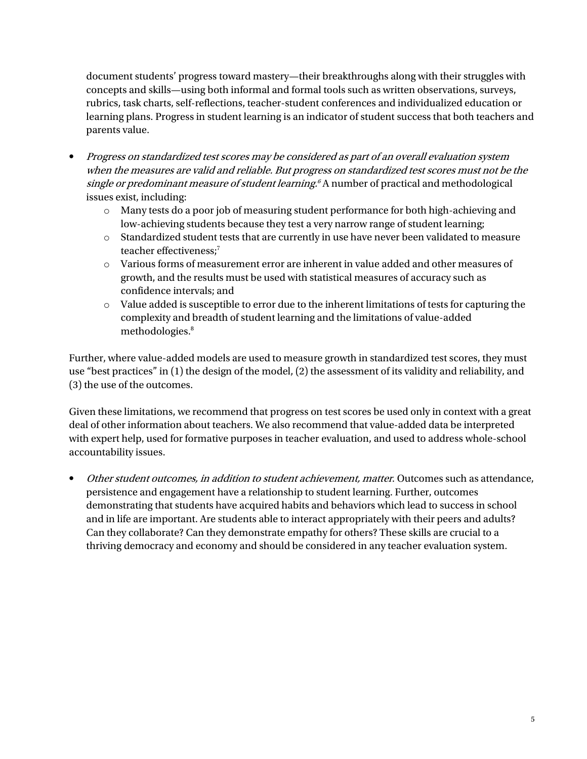document students' progress toward mastery—their breakthroughs along with their struggles with concepts and skills—using both informal and formal tools such as written observations, surveys, rubrics, task charts, self-reflections, teacher-student conferences and individualized education or learning plans. Progress in student learning is an indicator of student success that both teachers and parents value.

- Progress on standardized test scores may be considered as part of an overall evaluation system when the measures are valid and reliable. But progress on standardized test scores must not be the single or predominant measure of student learning.<sup>6</sup> A number of practical and methodological issues exist, including:
	- o Many tests do a poor job of measuring student performance for both high-achieving and low-achieving students because they test a very narrow range of student learning;
	- o Standardized student tests that are currently in use have never been validated to measure teacher effectiveness:<sup>7</sup>
	- $\circ$  Various forms of measurement error are inherent in value added and other measures of growth, and the results must be used with statistical measures of accuracy such as confidence intervals; and
	- $\circ$  Value added is susceptible to error due to the inherent limitations of tests for capturing the complexity and breadth of student learning and the limitations of value-added methodologies.<sup>8</sup>

Further, where value-added models are used to measure growth in standardized test scores, they must use "best practices" in (1) the design of the model, (2) the assessment of its validity and reliability, and (3) the use of the outcomes.

Given these limitations, we recommend that progress on test scores be used only in context with a great deal of other information about teachers. We also recommend that value-added data be interpreted with expert help, used for formative purposes in teacher evaluation, and used to address whole-school accountability issues.

• Other student outcomes, in addition to student achievement, matter. Outcomes such as attendance, persistence and engagement have a relationship to student learning. Further, outcomes demonstrating that students have acquired habits and behaviors which lead to success in school and in life are important. Are students able to interact appropriately with their peers and adults? Can they collaborate? Can they demonstrate empathy for others? These skills are crucial to a thriving democracy and economy and should be considered in any teacher evaluation system.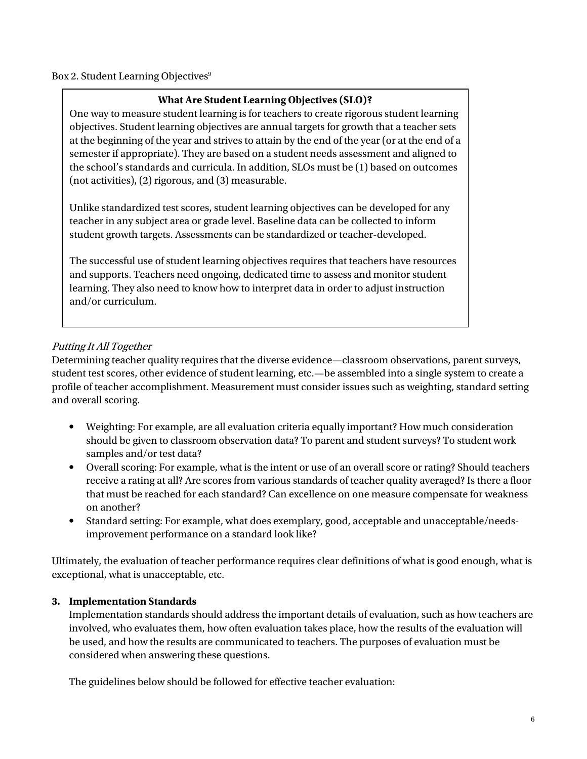#### Box 2. Student Learning Objectives<sup>9</sup>

#### **What Are Student Learning Objectives (SLO)?**

One way to measure student learning is for teachers to create rigorous student learning objectives. Student learning objectives are annual targets for growth that a teacher sets at the beginning of the year and strives to attain by the end of the year (or at the end of a semester if appropriate). They are based on a student needs assessment and aligned to the school's standards and curricula. In addition, SLOs must be (1) based on outcomes (not activities), (2) rigorous, and (3) measurable.

Unlike standardized test scores, student learning objectives can be developed for any teacher in any subject area or grade level. Baseline data can be collected to inform student growth targets. Assessments can be standardized or teacher-developed.

 and supports. Teachers need ongoing, dedicated time to assess and monitor student The successful use of student learning objectives requires that teachers have resources learning. They also need to know how to interpret data in order to adjust instruction and/or curriculum.

#### Putting It All Together

Determining teacher quality requires that the diverse evidence—classroom observations, parent surveys, student test scores, other evidence of student learning, etc.—be assembled into a single system to create a profile of teacher accomplishment. Measurement must consider issues such as weighting, standard setting and overall scoring.

- Weighting: For example, are all evaluation criteria equally important? How much consideration should be given to classroom observation data? To parent and student surveys? To student work samples and/or test data?
- Overall scoring: For example, what is the intent or use of an overall score or rating? Should teachers receive a rating at all? Are scores from various standards of teacher quality averaged? Is there a floor that must be reached for each standard? Can excellence on one measure compensate for weakness on another?
- Standard setting: For example, what does exemplary, good, acceptable and unacceptable/needsimprovement performance on a standard look like?

Ultimately, the evaluation of teacher performance requires clear definitions of what is good enough, what is exceptional, what is unacceptable, etc.

#### **3. Implementation Standards**

Implementation standards should address the important details of evaluation, such as how teachers are involved, who evaluates them, how often evaluation takes place, how the results of the evaluation will be used, and how the results are communicated to teachers. The purposes of evaluation must be considered when answering these questions.

The guidelines below should be followed for effective teacher evaluation: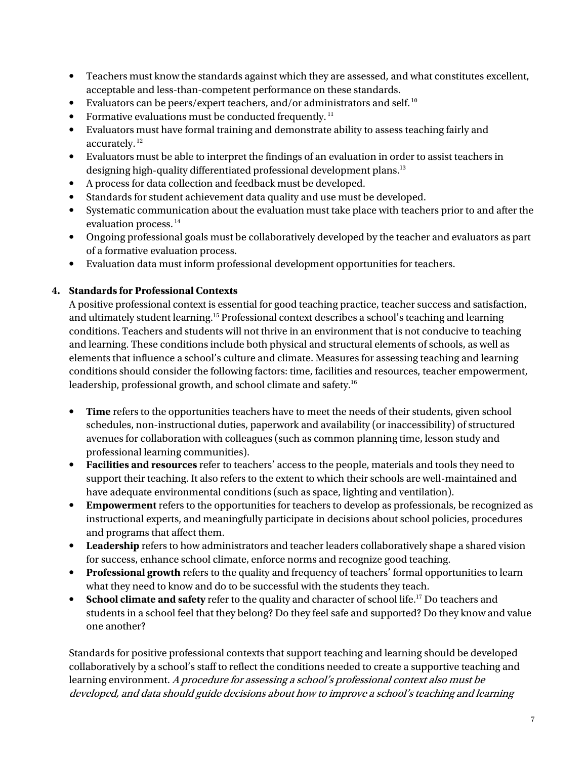- Teachers must know the standards against which they are assessed, and what constitutes excellent, acceptable and less-than-competent performance on these standards.
- $\bullet$  Evaluators can be peers/expert teachers, and/or administrators and self.  $^{10}$
- Formative evaluations must be conducted frequently.<sup>11</sup>
- Evaluators must have formal training and demonstrate ability to assess teaching fairly and accurately.<sup>12</sup>
- Evaluators must be able to interpret the findings of an evaluation in order to assist teachers in designing high-quality differentiated professional development plans.<sup>13</sup>
- A process for data collection and feedback must be developed.
- Standards for student achievement data quality and use must be developed.
- Systematic communication about the evaluation must take place with teachers prior to and after the evaluation process.<sup>14</sup>
- Ongoing professional goals must be collaboratively developed by the teacher and evaluators as part of a formative evaluation process.
- Evaluation data must inform professional development opportunities for teachers.

#### **4. Standards for Professional Contexts**

A positive professional context is essential for good teaching practice, teacher success and satisfaction, and ultimately student learning.<sup>15</sup> Professional context describes a school's teaching and learning conditions. Teachers and students will not thrive in an environment that is not conducive to teaching and learning. These conditions include both physical and structural elements of schools, as well as elements that influence a school's culture and climate. Measures for assessing teaching and learning conditions should consider the following factors: time, facilities and resources, teacher empowerment, leadership, professional growth, and school climate and safety.<sup>16</sup>

- Time refers to the opportunities teachers have to meet the needs of their students, given school schedules, non-instructional duties, paperwork and availability (or inaccessibility) of structured avenues for collaboration with colleagues (such as common planning time, lesson study and professional learning communities).
- **Facilities and resources** refer to teachers' access to the people, materials and tools they need to support their teaching. It also refers to the extent to which their schools are well-maintained and have adequate environmental conditions (such as space, lighting and ventilation).
- **Empowerment** refers to the opportunities for teachers to develop as professionals, be recognized as instructional experts, and meaningfully participate in decisions about school policies, procedures and programs that affect them.
- **Leadership** refers to how administrators and teacher leaders collaboratively shape a shared vision for success, enhance school climate, enforce norms and recognize good teaching.
- **Professional growth** refers to the quality and frequency of teachers' formal opportunities to learn what they need to know and do to be successful with the students they teach.
- **School climate and safety** refer to the quality and character of school life.<sup>17</sup> Do teachers and students in a school feel that they belong? Do they feel safe and supported? Do they know and value one another?

Standards for positive professional contexts that support teaching and learning should be developed collaboratively by a school's staff to reflect the conditions needed to create a supportive teaching and learning environment. A procedure for assessing a school's professional context also must be developed, and data should guide decisions about how to improve a school's teaching and learning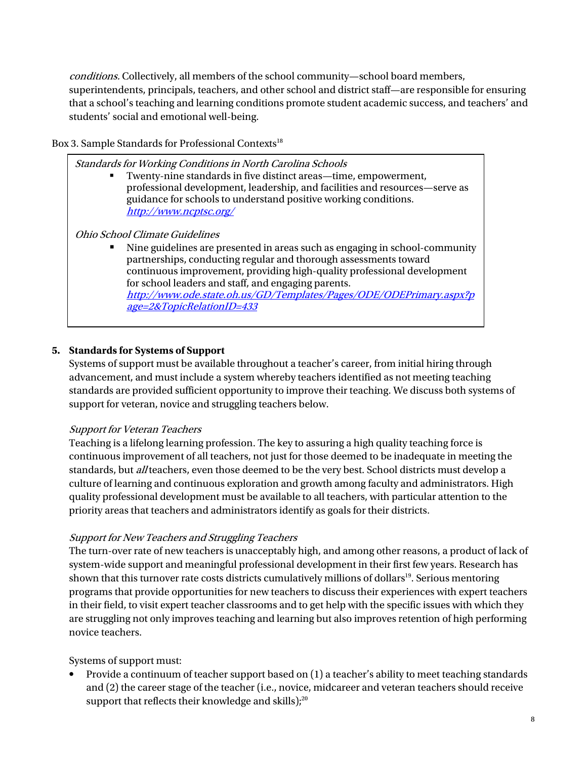conditions. Collectively, all members of the school community—school board members, superintendents, principals, teachers, and other school and district staff—are responsible for ensuring that a school's teaching and learning conditions promote student academic success, and teachers' and students' social and emotional well-being.

#### Box 3. Sample Standards for Professional Contexts<sup>18</sup>

Standards for Working Conditions in North Carolina Schools Twenty-nine standards in five distinct areas—time, empowerment, professional development, leadership, and facilities and resources—serve as guidance for schools to understand positive working conditions. http://www.ncptsc.org/ Ohio School Climate Guidelines Nine guidelines are presented in areas such as engaging in school-community partnerships, conducting regular and thorough assessments toward continuous improvement, providing high-quality professional development for school leaders and staff, and engaging parents. http://www.ode.state.oh.us/GD/Templates/Pages/ODE/ODEPrimary.aspx?p age=2&TopicRelationID=433

#### **5. Standards for Systems of Support**

Systems of support must be available throughout a teacher's career, from initial hiring through advancement, and must include a system whereby teachers identified as not meeting teaching standards are provided sufficient opportunity to improve their teaching. We discuss both systems of support for veteran, novice and struggling teachers below.

#### Support for Veteran Teachers

Teaching is a lifelong learning profession. The key to assuring a high quality teaching force is continuous improvement of all teachers, not just for those deemed to be inadequate in meeting the standards, but all teachers, even those deemed to be the very best. School districts must develop a culture of learning and continuous exploration and growth among faculty and administrators. High quality professional development must be available to all teachers, with particular attention to the priority areas that teachers and administrators identify as goals for their districts.

#### Support for New Teachers and Struggling Teachers

The turn-over rate of new teachers is unacceptably high, and among other reasons, a product of lack of system-wide support and meaningful professional development in their first few years. Research has shown that this turnover rate costs districts cumulatively millions of dollars<sup>19</sup>. Serious mentoring programs that provide opportunities for new teachers to discuss their experiences with expert teachers in their field, to visit expert teacher classrooms and to get help with the specific issues with which they are struggling not only improves teaching and learning but also improves retention of high performing novice teachers.

#### Systems of support must:

• Provide a continuum of teacher support based on (1) a teacher's ability to meet teaching standards and (2) the career stage of the teacher (i.e., novice, midcareer and veteran teachers should receive support that reflects their knowledge and skills);<sup>20</sup>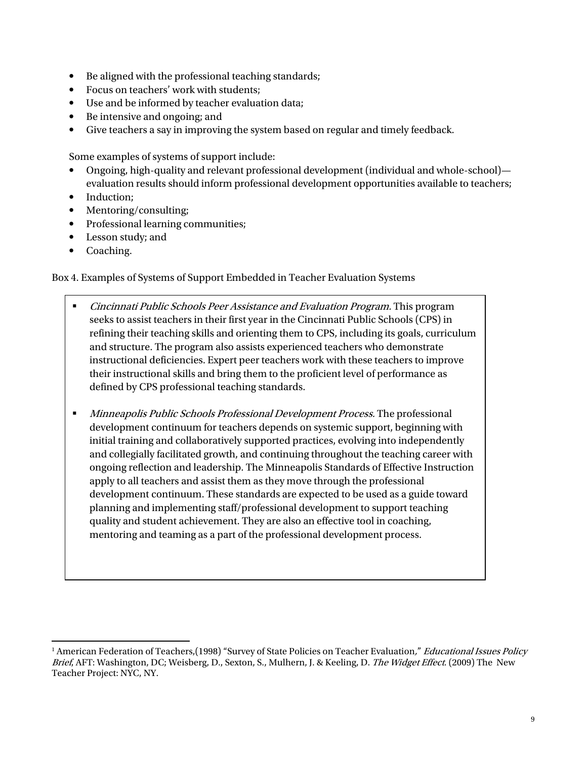- Be aligned with the professional teaching standards;
- Focus on teachers' work with students;
- Use and be informed by teacher evaluation data;
- Be intensive and ongoing; and
- Give teachers a say in improving the system based on regular and timely feedback.

Some examples of systems of support include:

- Ongoing, high-quality and relevant professional development (individual and whole-school) evaluation results should inform professional development opportunities available to teachers;
- Induction:
- Mentoring/consulting;
- Professional learning communities;
- Lesson study; and
- Coaching.

Box 4. Examples of Systems of Support Embedded in Teacher Evaluation Systems

- Cincinnati Public Schools Peer Assistance and Evaluation Program. This program seeks to assist teachers in their first year in the Cincinnati Public Schools (CPS) in refining their teaching skills and orienting them to CPS, including its goals, curriculum and structure. The program also assists experienced teachers who demonstrate instructional deficiencies. Expert peer teachers work with these teachers to improve their instructional skills and bring them to the proficient level of performance as defined by CPS professional teaching standards.
- **Minneapolis Public Schools Professional Development Process.** The professional development continuum for teachers depends on systemic support, beginning with initial training and collaboratively supported practices, evolving into independently and collegially facilitated growth, and continuing throughout the teaching career with ongoing reflection and leadership. The Minneapolis Standards of Effective Instruction apply to all teachers and assist them as they move through the professional development continuum. These standards are expected to be used as a guide toward planning and implementing staff/professional development to support teaching quality and student achievement. They are also an effective tool in coaching, mentoring and teaming as a part of the professional development process.

<sup>1</sup> <sup>1</sup> American Federation of Teachers,(1998) "Survey of State Policies on Teacher Evaluation*," Educational Issues Policy* Brief, AFT: Washington, DC; Weisberg, D., Sexton, S., Mulhern, J. & Keeling, D. The Widget Effect. (2009) The New Teacher Project: NYC, NY.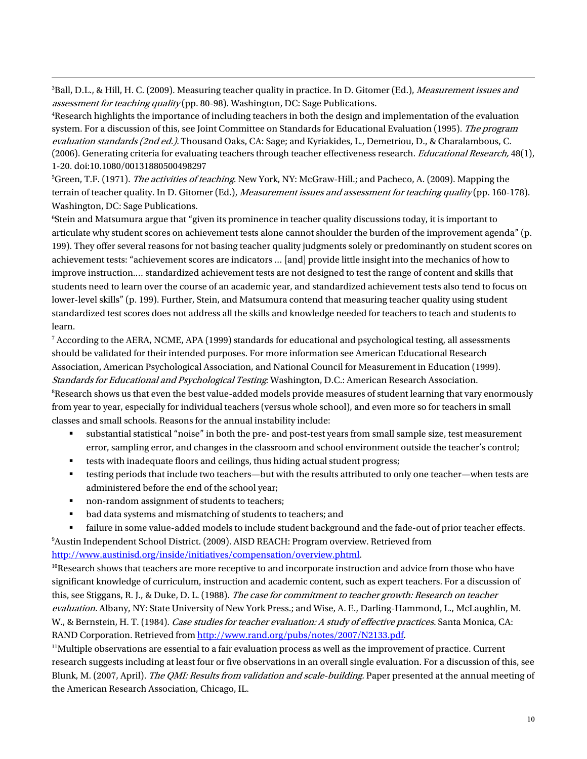<sup>3</sup>Ball, D.L., & Hill, H. C. (2009). Measuring teacher quality in practice. In D. Gitomer (Ed.), *Measurement issues and* assessment for teaching quality (pp. 80-98). Washington, DC: Sage Publications.

<sup>4</sup>Research highlights the importance of including teachers in both the design and implementation of the evaluation system. For a discussion of this, see Joint Committee on Standards for Educational Evaluation (1995). The program evaluation standards (2nd ed.). Thousand Oaks, CA: Sage; and Kyriakides, L., Demetriou, D., & Charalambous, C. (2006). Generating criteria for evaluating teachers through teacher effectiveness research. Educational Research, 48(1), 1-20. doi:10.1080/00131880500498297

<sup>5</sup>Green, T.F. (1971). *The activities of teaching*. New York, NY: McGraw-Hill.; and Pacheco, A. (2009). Mapping the terrain of teacher quality. In D. Gitomer (Ed.), *Measurement issues and assessment for teaching quality* (pp. 160-178). Washington, DC: Sage Publications.

<sup>6</sup>Stein and Matsumura argue that "given its prominence in teacher quality discussions today, it is important to articulate why student scores on achievement tests alone cannot shoulder the burden of the improvement agenda" (p. 199). They offer several reasons for not basing teacher quality judgments solely or predominantly on student scores on achievement tests: "achievement scores are indicators … [and] provide little insight into the mechanics of how to improve instruction.… standardized achievement tests are not designed to test the range of content and skills that students need to learn over the course of an academic year, and standardized achievement tests also tend to focus on lower-level skills" (p. 199). Further, Stein, and Matsumura contend that measuring teacher quality using student standardized test scores does not address all the skills and knowledge needed for teachers to teach and students to learn.

7 According to the AERA, NCME, APA (1999) standards for educational and psychological testing, all assessments should be validated for their intended purposes. For more information see American Educational Research Association, American Psychological Association, and National Council for Measurement in Education (1999). Standards for Educational and Psychological Testing: Washington, D.C.: American Research Association. <sup>8</sup>Research shows us that even the best value-added models provide measures of student learning that vary enormously from year to year, especially for individual teachers (versus whole school), and even more so for teachers in small classes and small schools. Reasons for the annual instability include:

- substantial statistical "noise" in both the pre- and post-test years from small sample size, test measurement error, sampling error, and changes in the classroom and school environment outside the teacher's control;
- tests with inadequate floors and ceilings, thus hiding actual student progress;
- testing periods that include two teachers—but with the results attributed to only one teacher—when tests are administered before the end of the school year;
- non-random assignment of students to teachers;

-

- bad data systems and mismatching of students to teachers; and
- failure in some value-added models to include student background and the fade-out of prior teacher effects. <sup>9</sup>Austin Independent School District. (2009). AISD REACH: Program overview. Retrieved from

http://www.austinisd.org/inside/initiatives/compensation/overview.phtml.

<sup>10</sup>Research shows that teachers are more receptive to and incorporate instruction and advice from those who have significant knowledge of curriculum, instruction and academic content, such as expert teachers. For a discussion of this, see Stiggans, R. J., & Duke, D. L. (1988). The case for commitment to teacher growth: Research on teacher evaluation. Albany, NY: State University of New York Press.; and Wise, A. E., Darling-Hammond, L., McLaughlin, M. W., & Bernstein, H. T. (1984). Case studies for teacher evaluation: A study of effective practices. Santa Monica, CA: RAND Corporation. Retrieved from http://www.rand.org/pubs/notes/2007/N2133.pdf.

 $<sup>11</sup>$ Multiple observations are essential to a fair evaluation process as well as the improvement of practice. Current</sup> research suggests including at least four or five observations in an overall single evaluation. For a discussion of this, see Blunk, M. (2007, April). The QMI: Results from validation and scale-building. Paper presented at the annual meeting of the American Research Association, Chicago, IL.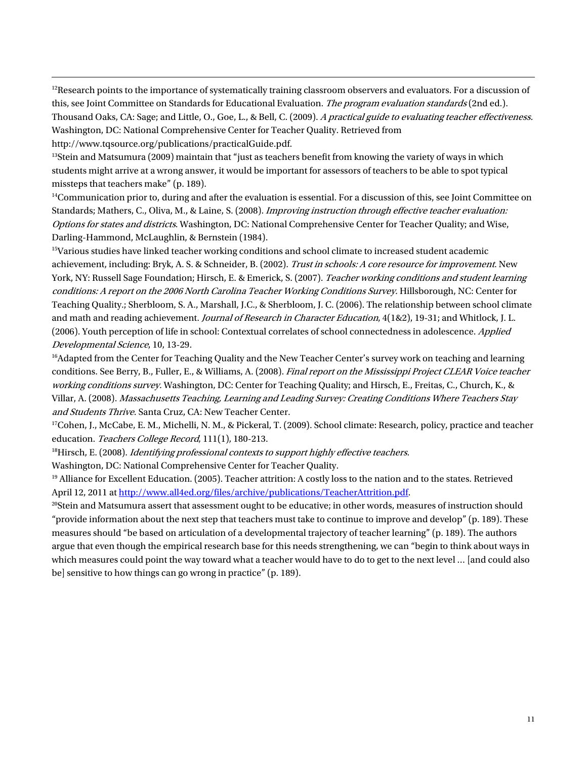<sup>12</sup>Research points to the importance of systematically training classroom observers and evaluators. For a discussion of this, see Joint Committee on Standards for Educational Evaluation. The program evaluation standards (2nd ed.). Thousand Oaks, CA: Sage; and Little, O., Goe, L., & Bell, C. (2009). A practical guide to evaluating teacher effectiveness. Washington, DC: National Comprehensive Center for Teacher Quality. Retrieved from http://www.tqsource.org/publications/practicalGuide.pdf.

 $13$ Stein and Matsumura (2009) maintain that "just as teachers benefit from knowing the variety of ways in which students might arrive at a wrong answer, it would be important for assessors of teachers to be able to spot typical missteps that teachers make" (p. 189).

-

 $<sup>14</sup>$ Communication prior to, during and after the evaluation is essential. For a discussion of this, see Joint Committee on</sup> Standards; Mathers, C., Oliva, M., & Laine, S. (2008). Improving instruction through effective teacher evaluation: Options for states and districts. Washington, DC: National Comprehensive Center for Teacher Quality; and Wise, Darling-Hammond, McLaughlin, & Bernstein (1984).

<sup>15</sup>Various studies have linked teacher working conditions and school climate to increased student academic achievement, including: Bryk, A. S. & Schneider, B. (2002). Trust in schools: A core resource for improvement. New York, NY: Russell Sage Foundation; Hirsch, E. & Emerick, S. (2007). Teacher working conditions and student learning conditions: A report on the 2006 North Carolina Teacher Working Conditions Survey. Hillsborough, NC: Center for Teaching Quality.; Sherbloom, S. A., Marshall, J.C., & Sherbloom, J. C. (2006). The relationship between school climate and math and reading achievement. Journal of Research in Character Education, 4(1&2), 19-31; and Whitlock, J. L. (2006). Youth perception of life in school: Contextual correlates of school connectedness in adolescence. Applied Developmental Science, 10, 13-29.

<sup>16</sup>Adapted from the Center for Teaching Quality and the New Teacher Center's survey work on teaching and learning conditions. See Berry, B., Fuller, E., & Williams, A. (2008). Final report on the Mississippi Project CLEAR Voice teacher working conditions survey. Washington, DC: Center for Teaching Quality; and Hirsch, E., Freitas, C., Church, K., & Villar, A. (2008). Massachusetts Teaching, Learning and Leading Survey: Creating Conditions Where Teachers Stay and Students Thrive. Santa Cruz, CA: New Teacher Center.

<sup>17</sup>Cohen, J., McCabe, E. M., Michelli, N. M., & Pickeral, T. (2009). School climate: Research, policy, practice and teacher education. Teachers College Record, 111(1), 180-213.

 $18$ Hirsch, E. (2008). Identifying professional contexts to support highly effective teachers. Washington, DC: National Comprehensive Center for Teacher Quality.

<sup>19</sup> Alliance for Excellent Education. (2005). Teacher attrition: A costly loss to the nation and to the states. Retrieved April 12, 2011 at http://www.all4ed.org/files/archive/publications/TeacherAttrition.pdf.

 $20$ Stein and Matsumura assert that assessment ought to be educative; in other words, measures of instruction should "provide information about the next step that teachers must take to continue to improve and develop" (p. 189). These measures should "be based on articulation of a developmental trajectory of teacher learning" (p. 189). The authors argue that even though the empirical research base for this needs strengthening, we can "begin to think about ways in which measures could point the way toward what a teacher would have to do to get to the next level ... [and could also be] sensitive to how things can go wrong in practice" (p. 189).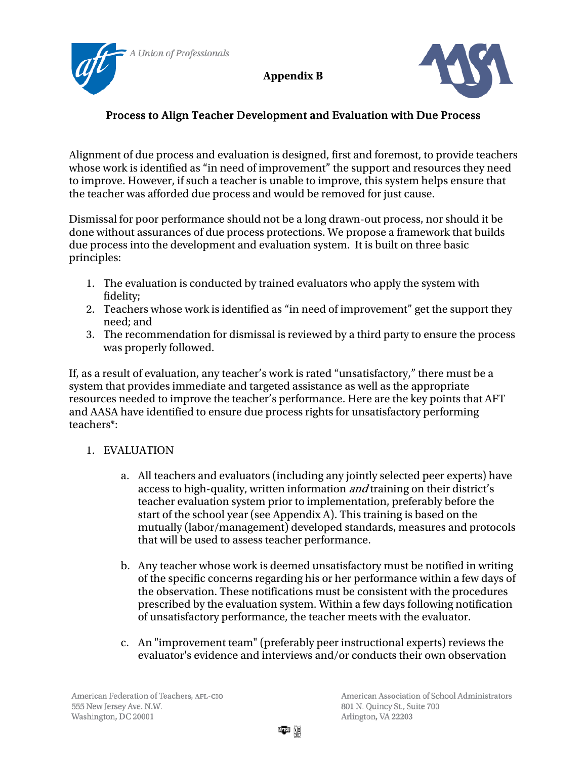Union of Professionals



# Process to Align Teacher Development and Evaluation with Due Process

Alignment of due process and evaluation is designed, first and foremost, to provide teachers whose work is identified as "in need of improvement" the support and resources they need to improve. However, if such a teacher is unable to improve, this system helps ensure that the teacher was afforded due process and would be removed for just cause.

Dismissal for poor performance should not be a long drawn-out process, nor should it be done without assurances of due process protections. We propose a framework that builds due process into the development and evaluation system. It is built on three basic principles:

- 1. The evaluation is conducted by trained evaluators who apply the system with fidelity;
- 2. Teachers whose work is identified as "in need of improvement" get the support they need; and
- 3. The recommendation for dismissal is reviewed by a third party to ensure the process was properly followed.

If, as a result of evaluation, any teacher's work is rated "unsatisfactory," there must be a system that provides immediate and targeted assistance as well as the appropriate resources needed to improve the teacher's performance. Here are the key points that AFT and AASA have identified to ensure due process rights for unsatisfactory performing teachers\*:

## 1. EVALUATION

- a. All teachers and evaluators (including any jointly selected peer experts) have access to high-quality, written information and training on their district's teacher evaluation system prior to implementation, preferably before the start of the school year (see Appendix A). This training is based on the mutually (labor/management) developed standards, measures and protocols that will be used to assess teacher performance.
- b. Any teacher whose work is deemed unsatisfactory must be notified in writing of the specific concerns regarding his or her performance within a few days of the observation. These notifications must be consistent with the procedures prescribed by the evaluation system. Within a few days following notification of unsatisfactory performance, the teacher meets with the evaluator.
- c. An "improvement team" (preferably peer instructional experts) reviews the evaluator's evidence and interviews and/or conducts their own observation

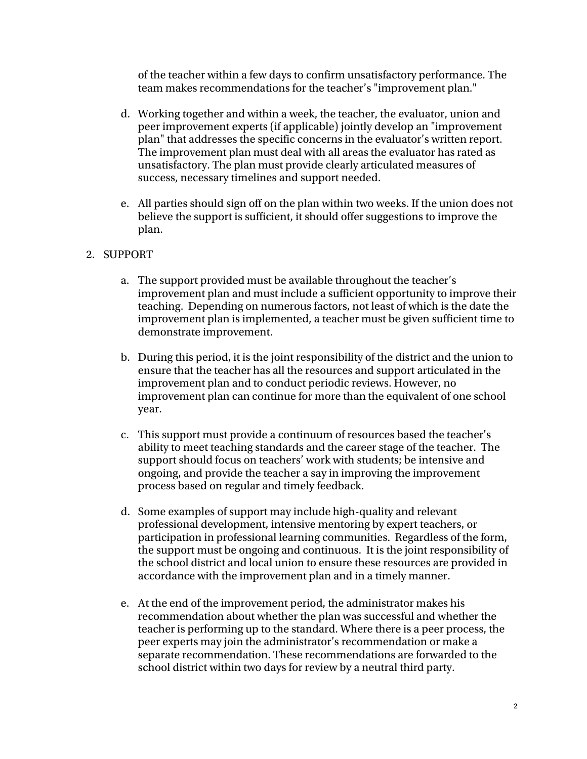of the teacher within a few days to confirm unsatisfactory performance. The team makes recommendations for the teacher's "improvement plan."

- d. Working together and within a week, the teacher, the evaluator, union and peer improvement experts (if applicable) jointly develop an "improvement plan" that addresses the specific concerns in the evaluator's written report. The improvement plan must deal with all areas the evaluator has rated as unsatisfactory. The plan must provide clearly articulated measures of success, necessary timelines and support needed.
- e. All parties should sign off on the plan within two weeks. If the union does not believe the support is sufficient, it should offer suggestions to improve the plan.

### 2. SUPPORT

- a. The support provided must be available throughout the teacher's improvement plan and must include a sufficient opportunity to improve their teaching. Depending on numerous factors, not least of which is the date the improvement plan is implemented, a teacher must be given sufficient time to demonstrate improvement.
- b. During this period, it is the joint responsibility of the district and the union to ensure that the teacher has all the resources and support articulated in the improvement plan and to conduct periodic reviews. However, no improvement plan can continue for more than the equivalent of one school year.
- c. This support must provide a continuum of resources based the teacher's ability to meet teaching standards and the career stage of the teacher. The support should focus on teachers' work with students; be intensive and ongoing, and provide the teacher a say in improving the improvement process based on regular and timely feedback.
- d. Some examples of support may include high-quality and relevant professional development, intensive mentoring by expert teachers, or participation in professional learning communities. Regardless of the form, the support must be ongoing and continuous. It is the joint responsibility of the school district and local union to ensure these resources are provided in accordance with the improvement plan and in a timely manner.
- e. At the end of the improvement period, the administrator makes his recommendation about whether the plan was successful and whether the teacher is performing up to the standard. Where there is a peer process, the peer experts may join the administrator's recommendation or make a separate recommendation. These recommendations are forwarded to the school district within two days for review by a neutral third party.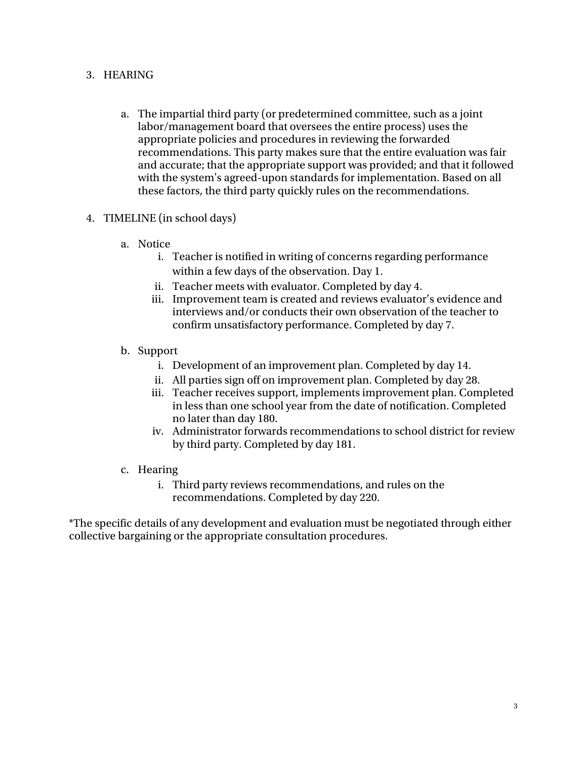### 3. HEARING

- a. The impartial third party (or predetermined committee, such as a joint labor/management board that oversees the entire process) uses the appropriate policies and procedures in reviewing the forwarded recommendations. This party makes sure that the entire evaluation was fair and accurate; that the appropriate support was provided; and that it followed with the system's agreed-upon standards for implementation. Based on all these factors, the third party quickly rules on the recommendations.
- 4. TIMELINE (in school days)
	- a. Notice
		- i. Teacher is notified in writing of concerns regarding performance within a few days of the observation. Day 1.
		- ii. Teacher meets with evaluator. Completed by day 4.
		- iii. Improvement team is created and reviews evaluator's evidence and interviews and/or conducts their own observation of the teacher to confirm unsatisfactory performance. Completed by day 7.
	- b. Support
		- i. Development of an improvement plan. Completed by day 14.
		- ii. All parties sign off on improvement plan. Completed by day 28.
		- iii. Teacher receives support, implements improvement plan. Completed in less than one school year from the date of notification. Completed no later than day 180.
		- iv. Administrator forwards recommendations to school district for review by third party. Completed by day 181.
	- c. Hearing
		- i. Third party reviews recommendations, and rules on the recommendations. Completed by day 220.

\*The specific details of any development and evaluation must be negotiated through either collective bargaining or the appropriate consultation procedures.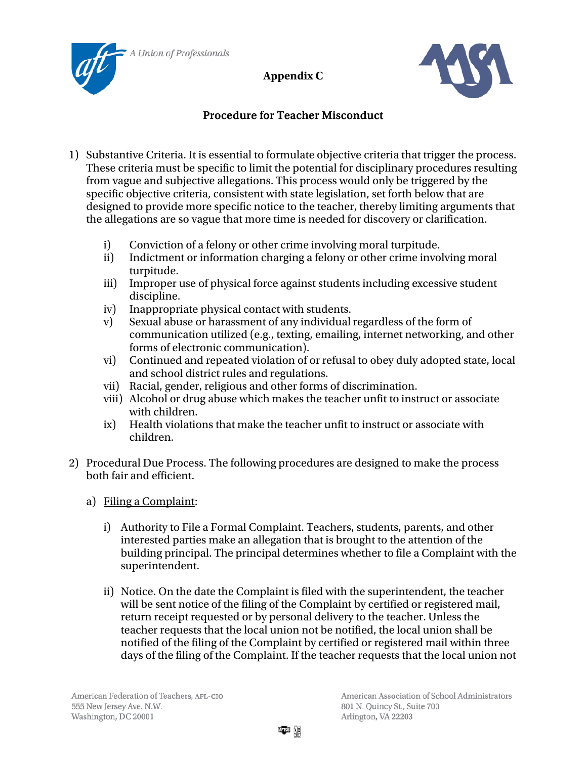



# Procedure for Teacher Misconduct

- 1) Substantive Criteria. It is essential to formulate objective criteria that trigger the process. These criteria must be specific to limit the potential for disciplinary procedures resulting from vague and subjective allegations. This process would only be triggered by the specific objective criteria, consistent with state legislation, set forth below that are designed to provide more specific notice to the teacher, thereby limiting arguments that the allegations are so vague that more time is needed for discovery or clarification.
	- i) Conviction of a felony or other crime involving moral turpitude.
	- ii) Indictment or information charging a felony or other crime involving moral turpitude.
	- iii) Improper use of physical force against students including excessive student discipline.
	- iv) Inappropriate physical contact with students.
	- v) Sexual abuse or harassment of any individual regardless of the form of communication utilized (e.g., texting, emailing, internet networking, and other forms of electronic communication).
	- vi) Continued and repeated violation of or refusal to obey duly adopted state, local and school district rules and regulations.
	- vii) Racial, gender, religious and other forms of discrimination.
	- viii) Alcohol or drug abuse which makes the teacher unfit to instruct or associate with children.
	- ix) Health violations that make the teacher unfit to instruct or associate with children.
- 2) Procedural Due Process. The following procedures are designed to make the process both fair and efficient.
	- a) Filing a Complaint:
		- i) Authority to File a Formal Complaint. Teachers, students, parents, and other interested parties make an allegation that is brought to the attention of the building principal. The principal determines whether to file a Complaint with the superintendent.
		- ii) Notice. On the date the Complaint is filed with the superintendent, the teacher will be sent notice of the filing of the Complaint by certified or registered mail, return receipt requested or by personal delivery to the teacher. Unless the teacher requests that the local union not be notified, the local union shall be notified of the filing of the Complaint by certified or registered mail within three days of the filing of the Complaint. If the teacher requests that the local union not

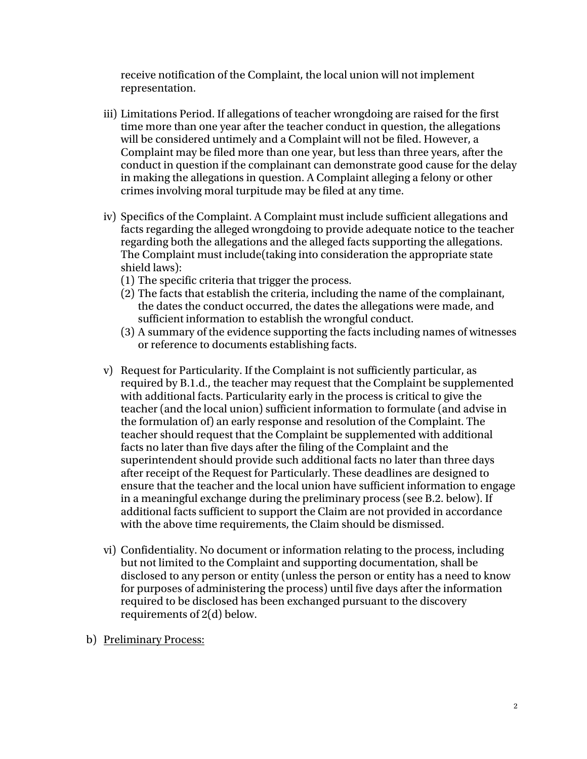receive notification of the Complaint, the local union will not implement representation.

- iii) Limitations Period. If allegations of teacher wrongdoing are raised for the first time more than one year after the teacher conduct in question, the allegations will be considered untimely and a Complaint will not be filed. However, a Complaint may be filed more than one year, but less than three years, after the conduct in question if the complainant can demonstrate good cause for the delay in making the allegations in question. A Complaint alleging a felony or other crimes involving moral turpitude may be filed at any time.
- iv) Specifics of the Complaint. A Complaint must include sufficient allegations and facts regarding the alleged wrongdoing to provide adequate notice to the teacher regarding both the allegations and the alleged facts supporting the allegations. The Complaint must include(taking into consideration the appropriate state shield laws):
	- (1) The specific criteria that trigger the process.
	- (2) The facts that establish the criteria, including the name of the complainant, the dates the conduct occurred, the dates the allegations were made, and sufficient information to establish the wrongful conduct.
	- (3) A summary of the evidence supporting the facts including names of witnesses or reference to documents establishing facts.
- v) Request for Particularity. If the Complaint is not sufficiently particular, as required by B.1.d., the teacher may request that the Complaint be supplemented with additional facts. Particularity early in the process is critical to give the teacher (and the local union) sufficient information to formulate (and advise in the formulation of) an early response and resolution of the Complaint. The teacher should request that the Complaint be supplemented with additional facts no later than five days after the filing of the Complaint and the superintendent should provide such additional facts no later than three days after receipt of the Request for Particularly. These deadlines are designed to ensure that the teacher and the local union have sufficient information to engage in a meaningful exchange during the preliminary process (see B.2. below). If additional facts sufficient to support the Claim are not provided in accordance with the above time requirements, the Claim should be dismissed.
- vi) Confidentiality. No document or information relating to the process, including but not limited to the Complaint and supporting documentation, shall be disclosed to any person or entity (unless the person or entity has a need to know for purposes of administering the process) until five days after the information required to be disclosed has been exchanged pursuant to the discovery requirements of 2(d) below.
- b) Preliminary Process: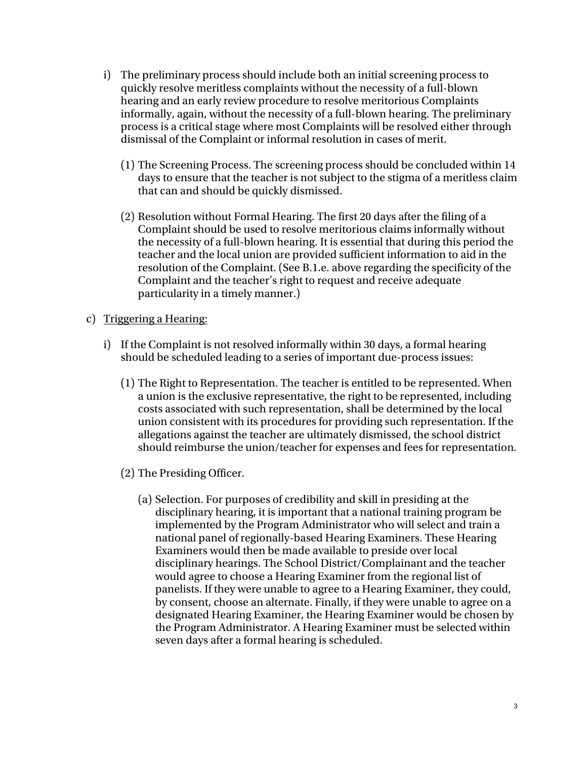- i) The preliminary process should include both an initial screening process to quickly resolve meritless complaints without the necessity of a full-blown hearing and an early review procedure to resolve meritorious Complaints informally, again, without the necessity of a full-blown hearing. The preliminary process is a critical stage where most Complaints will be resolved either through dismissal of the Complaint or informal resolution in cases of merit.
	- (1) The Screening Process. The screening process should be concluded within 14 days to ensure that the teacher is not subject to the stigma of a meritless claim that can and should be quickly dismissed.
	- (2) Resolution without Formal Hearing. The first 20 days after the filing of a Complaint should be used to resolve meritorious claims informally without the necessity of a full-blown hearing. It is essential that during this period the teacher and the local union are provided sufficient information to aid in the resolution of the Complaint. (See B.1.e. above regarding the specificity of the Complaint and the teacher's right to request and receive adequate particularity in a timely manner.)
- c) Triggering a Hearing:
	- i) If the Complaint is not resolved informally within 30 days, a formal hearing should be scheduled leading to a series of important due-process issues:
		- (1) The Right to Representation. The teacher is entitled to be represented. When a union is the exclusive representative, the right to be represented, including costs associated with such representation, shall be determined by the local union consistent with its procedures for providing such representation. If the allegations against the teacher are ultimately dismissed, the school district should reimburse the union/teacher for expenses and fees for representation.
		- (2) The Presiding Officer.
			- (a) Selection. For purposes of credibility and skill in presiding at the disciplinary hearing, it is important that a national training program be implemented by the Program Administrator who will select and train a national panel of regionally-based Hearing Examiners. These Hearing Examiners would then be made available to preside over local disciplinary hearings. The School District/Complainant and the teacher would agree to choose a Hearing Examiner from the regional list of panelists. If they were unable to agree to a Hearing Examiner, they could, by consent, choose an alternate. Finally, if they were unable to agree on a designated Hearing Examiner, the Hearing Examiner would be chosen by the Program Administrator. A Hearing Examiner must be selected within seven days after a formal hearing is scheduled.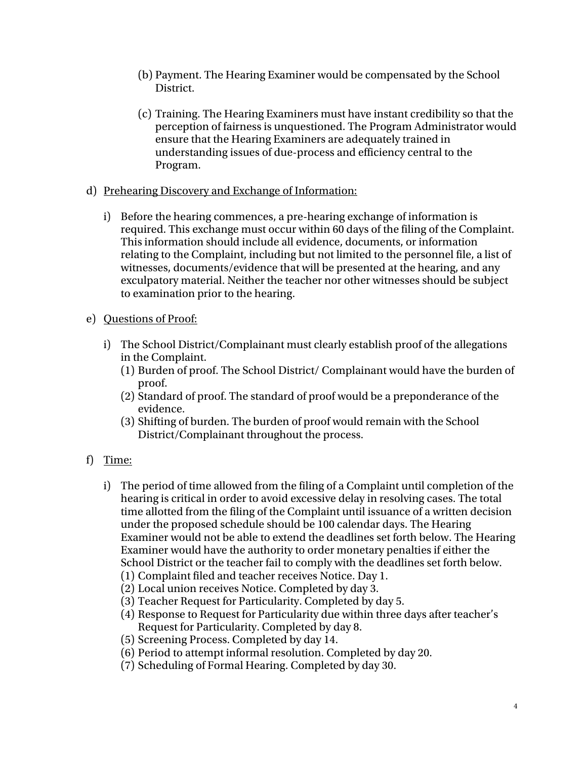- (b) Payment. The Hearing Examiner would be compensated by the School District.
- (c) Training. The Hearing Examiners must have instant credibility so that the perception of fairness is unquestioned. The Program Administrator would ensure that the Hearing Examiners are adequately trained in understanding issues of due-process and efficiency central to the Program.
- d) Prehearing Discovery and Exchange of Information:
	- i) Before the hearing commences, a pre-hearing exchange of information is required. This exchange must occur within 60 days of the filing of the Complaint. This information should include all evidence, documents, or information relating to the Complaint, including but not limited to the personnel file, a list of witnesses, documents/evidence that will be presented at the hearing, and any exculpatory material. Neither the teacher nor other witnesses should be subject to examination prior to the hearing.
- e) Questions of Proof:
	- i) The School District/Complainant must clearly establish proof of the allegations in the Complaint.
		- (1) Burden of proof. The School District/ Complainant would have the burden of proof.
		- (2) Standard of proof. The standard of proof would be a preponderance of the evidence.
		- (3) Shifting of burden. The burden of proof would remain with the School District/Complainant throughout the process.

# f) Time:

- i) The period of time allowed from the filing of a Complaint until completion of the hearing is critical in order to avoid excessive delay in resolving cases. The total time allotted from the filing of the Complaint until issuance of a written decision under the proposed schedule should be 100 calendar days. The Hearing Examiner would not be able to extend the deadlines set forth below. The Hearing Examiner would have the authority to order monetary penalties if either the School District or the teacher fail to comply with the deadlines set forth below.
	- (1) Complaint filed and teacher receives Notice. Day 1.
	- (2) Local union receives Notice. Completed by day 3.
	- (3) Teacher Request for Particularity. Completed by day 5.
	- (4) Response to Request for Particularity due within three days after teacher's Request for Particularity. Completed by day 8.
	- (5) Screening Process. Completed by day 14.
	- (6) Period to attempt informal resolution. Completed by day 20.
	- (7) Scheduling of Formal Hearing. Completed by day 30.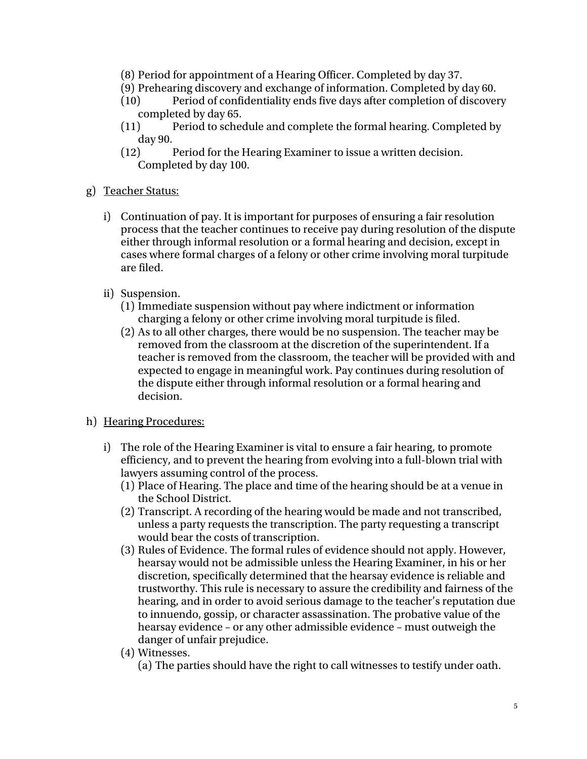- (8) Period for appointment of a Hearing Officer. Completed by day 37.
- (9) Prehearing discovery and exchange of information. Completed by day 60.
- (10) Period of confidentiality ends five days after completion of discovery completed by day 65.
- (11) Period to schedule and complete the formal hearing. Completed by day 90.
- (12) Period for the Hearing Examiner to issue a written decision. Completed by day 100.
- g) Teacher Status:
	- i) Continuation of pay. It is important for purposes of ensuring a fair resolution process that the teacher continues to receive pay during resolution of the dispute either through informal resolution or a formal hearing and decision, except in cases where formal charges of a felony or other crime involving moral turpitude are filed.
	- ii) Suspension.
		- (1) Immediate suspension without pay where indictment or information charging a felony or other crime involving moral turpitude is filed.
		- (2) As to all other charges, there would be no suspension. The teacher may be removed from the classroom at the discretion of the superintendent. If a teacher is removed from the classroom, the teacher will be provided with and expected to engage in meaningful work. Pay continues during resolution of the dispute either through informal resolution or a formal hearing and decision.
- h) Hearing Procedures:
	- i) The role of the Hearing Examiner is vital to ensure a fair hearing, to promote efficiency, and to prevent the hearing from evolving into a full-blown trial with lawyers assuming control of the process.
		- (1) Place of Hearing. The place and time of the hearing should be at a venue in the School District.
		- (2) Transcript. A recording of the hearing would be made and not transcribed, unless a party requests the transcription. The party requesting a transcript would bear the costs of transcription.
		- (3) Rules of Evidence. The formal rules of evidence should not apply. However, hearsay would not be admissible unless the Hearing Examiner, in his or her discretion, specifically determined that the hearsay evidence is reliable and trustworthy. This rule is necessary to assure the credibility and fairness of the hearing, and in order to avoid serious damage to the teacher's reputation due to innuendo, gossip, or character assassination. The probative value of the hearsay evidence – or any other admissible evidence – must outweigh the danger of unfair prejudice.
		- (4) Witnesses.
			- (a) The parties should have the right to call witnesses to testify under oath.